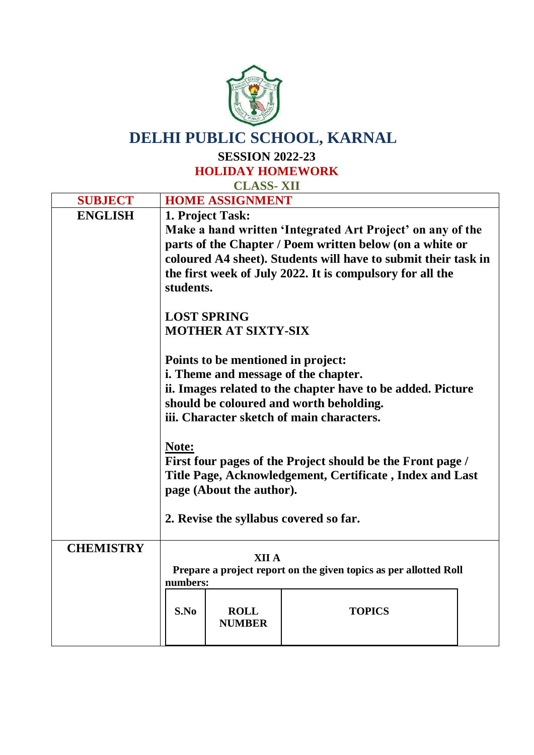

## **DELHI PUBLIC SCHOOL, KARNAL**

**SESSION 2022-23**

**HOLIDAY HOMEWORK CLASS- XII**

| <b>SUBJECT</b>   |                                         | <b>HOME ASSIGNMENT</b>             |                                                                   |  |
|------------------|-----------------------------------------|------------------------------------|-------------------------------------------------------------------|--|
| <b>ENGLISH</b>   |                                         | 1. Project Task:                   |                                                                   |  |
|                  |                                         |                                    | Make a hand written 'Integrated Art Project' on any of the        |  |
|                  |                                         |                                    | parts of the Chapter / Poem written below (on a white or          |  |
|                  |                                         |                                    | coloured A4 sheet). Students will have to submit their task in    |  |
|                  |                                         |                                    | the first week of July 2022. It is compulsory for all the         |  |
|                  | students.                               |                                    |                                                                   |  |
|                  |                                         | <b>LOST SPRING</b>                 |                                                                   |  |
|                  |                                         | <b>MOTHER AT SIXTY-SIX</b>         |                                                                   |  |
|                  |                                         | Points to be mentioned in project: |                                                                   |  |
|                  |                                         |                                    | i. Theme and message of the chapter.                              |  |
|                  |                                         |                                    | ii. Images related to the chapter have to be added. Picture       |  |
|                  | should be coloured and worth beholding. |                                    |                                                                   |  |
|                  |                                         |                                    | iii. Character sketch of main characters.                         |  |
|                  | Note:                                   |                                    |                                                                   |  |
|                  |                                         |                                    | First four pages of the Project should be the Front page /        |  |
|                  |                                         |                                    | Title Page, Acknowledgement, Certificate, Index and Last          |  |
|                  |                                         | page (About the author).           |                                                                   |  |
|                  |                                         |                                    |                                                                   |  |
|                  |                                         |                                    | 2. Revise the syllabus covered so far.                            |  |
|                  |                                         |                                    |                                                                   |  |
| <b>CHEMISTRY</b> |                                         | <b>XII A</b>                       |                                                                   |  |
|                  |                                         |                                    | Prepare a project report on the given topics as per allotted Roll |  |
|                  | numbers:                                |                                    |                                                                   |  |
|                  |                                         |                                    |                                                                   |  |
|                  | S.No                                    | <b>ROLL</b>                        | <b>TOPICS</b>                                                     |  |
|                  |                                         | <b>NUMBER</b>                      |                                                                   |  |
|                  |                                         |                                    |                                                                   |  |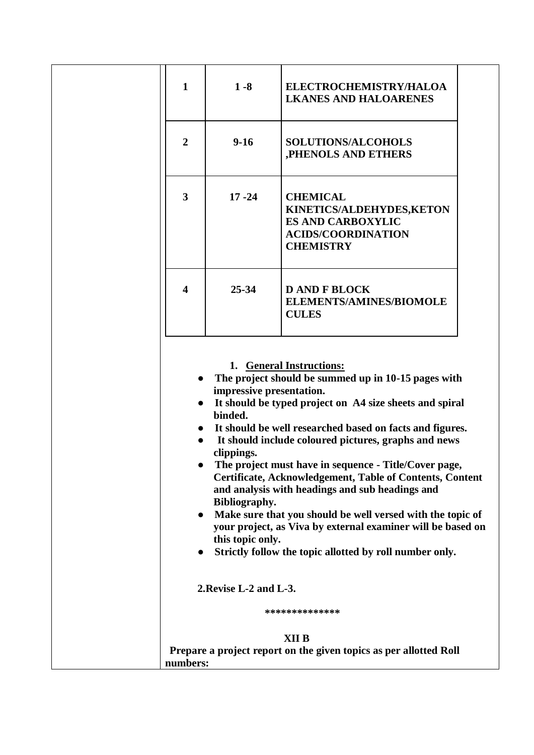| $\mathbf{1}$   | $1 - 8$                                                                                                          | ELECTROCHEMISTRY/HALOA<br><b>LKANES AND HALOARENES</b>                                                                                                                                                                                                                                                                                                                                                                                                                                                                                                                                                                                                                  |  |
|----------------|------------------------------------------------------------------------------------------------------------------|-------------------------------------------------------------------------------------------------------------------------------------------------------------------------------------------------------------------------------------------------------------------------------------------------------------------------------------------------------------------------------------------------------------------------------------------------------------------------------------------------------------------------------------------------------------------------------------------------------------------------------------------------------------------------|--|
| $\overline{2}$ | $9-16$                                                                                                           | <b>SOLUTIONS/ALCOHOLS</b><br>,PHENOLS AND ETHERS                                                                                                                                                                                                                                                                                                                                                                                                                                                                                                                                                                                                                        |  |
| 3              | $17 - 24$                                                                                                        | <b>CHEMICAL</b><br>KINETICS/ALDEHYDES, KETON<br><b>ES AND CARBOXYLIC</b><br><b>ACIDS/COORDINATION</b><br><b>CHEMISTRY</b>                                                                                                                                                                                                                                                                                                                                                                                                                                                                                                                                               |  |
| 4              | $25 - 34$                                                                                                        | <b>D AND F BLOCK</b><br><b>ELEMENTS/AMINES/BIOMOLE</b><br><b>CULES</b>                                                                                                                                                                                                                                                                                                                                                                                                                                                                                                                                                                                                  |  |
| $\bullet$      | impressive presentation.<br>binded.<br>clippings.<br>Bibliography.<br>this topic only.<br>2. Revise L-2 and L-3. | 1. General Instructions:<br>The project should be summed up in 10-15 pages with<br>It should be typed project on A4 size sheets and spiral<br>It should be well researched based on facts and figures.<br>It should include coloured pictures, graphs and news<br>The project must have in sequence - Title/Cover page,<br><b>Certificate, Acknowledgement, Table of Contents, Content</b><br>and analysis with headings and sub headings and<br>Make sure that you should be well versed with the topic of<br>your project, as Viva by external examiner will be based on<br>Strictly follow the topic allotted by roll number only.<br>**************<br><b>XII B</b> |  |
| numbers:       |                                                                                                                  | Prepare a project report on the given topics as per allotted Roll                                                                                                                                                                                                                                                                                                                                                                                                                                                                                                                                                                                                       |  |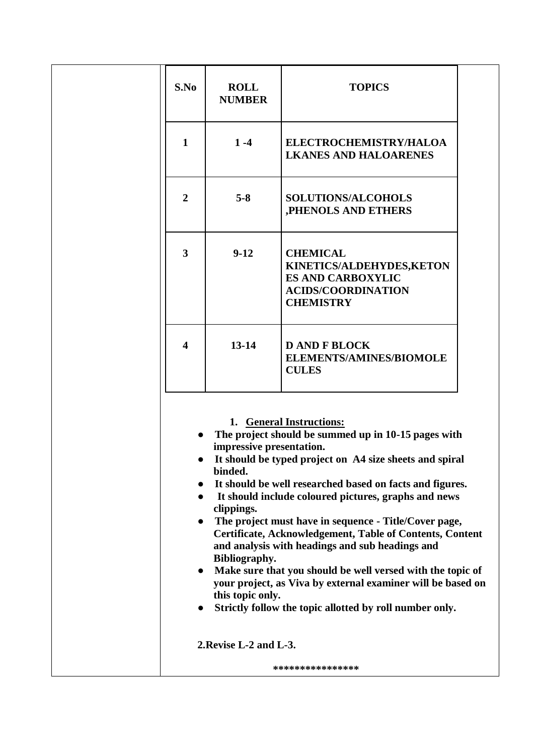| S.No                                | <b>ROLL</b><br><b>NUMBER</b>                                                                                     | <b>TOPICS</b>                                                                                                                                                                                                                                                                                                                                                                                                                                                                                                                                                                                                                                             |
|-------------------------------------|------------------------------------------------------------------------------------------------------------------|-----------------------------------------------------------------------------------------------------------------------------------------------------------------------------------------------------------------------------------------------------------------------------------------------------------------------------------------------------------------------------------------------------------------------------------------------------------------------------------------------------------------------------------------------------------------------------------------------------------------------------------------------------------|
| $\mathbf{1}$                        | $1 - 4$                                                                                                          | ELECTROCHEMISTRY/HALOA<br><b>LKANES AND HALOARENES</b>                                                                                                                                                                                                                                                                                                                                                                                                                                                                                                                                                                                                    |
| $\overline{2}$                      | $5 - 8$                                                                                                          | <b>SOLUTIONS/ALCOHOLS</b><br>,PHENOLS AND ETHERS                                                                                                                                                                                                                                                                                                                                                                                                                                                                                                                                                                                                          |
| $\overline{\mathbf{3}}$             | $9-12$                                                                                                           | <b>CHEMICAL</b><br>KINETICS/ALDEHYDES, KETON<br><b>ES AND CARBOXYLIC</b><br><b>ACIDS/COORDINATION</b><br><b>CHEMISTRY</b>                                                                                                                                                                                                                                                                                                                                                                                                                                                                                                                                 |
| $\overline{\mathbf{4}}$             | $13 - 14$                                                                                                        | <b>D AND F BLOCK</b><br><b>ELEMENTS/AMINES/BIOMOLE</b><br><b>CULES</b>                                                                                                                                                                                                                                                                                                                                                                                                                                                                                                                                                                                    |
| $\bullet$<br>$\bullet$<br>$\bullet$ | impressive presentation.<br>binded.<br>clippings.<br>Bibliography.<br>this topic only.<br>2. Revise L-2 and L-3. | 1. General Instructions:<br>The project should be summed up in 10-15 pages with<br>It should be typed project on A4 size sheets and spiral<br>It should be well researched based on facts and figures.<br>It should include coloured pictures, graphs and news<br>The project must have in sequence - Title/Cover page,<br><b>Certificate, Acknowledgement, Table of Contents, Content</b><br>and analysis with headings and sub headings and<br>Make sure that you should be well versed with the topic of<br>your project, as Viva by external examiner will be based on<br>Strictly follow the topic allotted by roll number only.<br>**************** |
|                                     |                                                                                                                  |                                                                                                                                                                                                                                                                                                                                                                                                                                                                                                                                                                                                                                                           |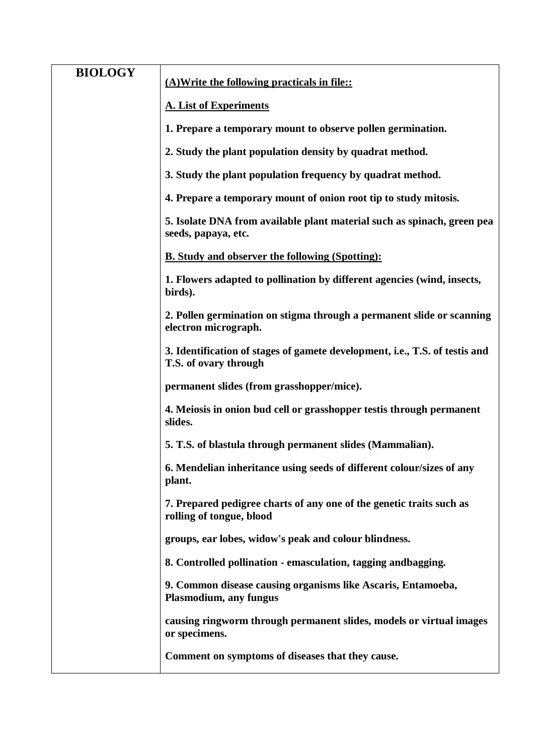| <b>BIOLOGY</b> | (A) Write the following practicals in file::                                                         |
|----------------|------------------------------------------------------------------------------------------------------|
|                | <b>A. List of Experiments</b>                                                                        |
|                | 1. Prepare a temporary mount to observe pollen germination.                                          |
|                | 2. Study the plant population density by quadrat method.                                             |
|                | 3. Study the plant population frequency by quadrat method.                                           |
|                | 4. Prepare a temporary mount of onion root tip to study mitosis.                                     |
|                | 5. Isolate DNA from available plant material such as spinach, green pea<br>seeds, papaya, etc.       |
|                | <b>B. Study and observer the following (Spotting):</b>                                               |
|                | 1. Flowers adapted to pollination by different agencies (wind, insects,<br>birds).                   |
|                | 2. Pollen germination on stigma through a permanent slide or scanning<br>electron micrograph.        |
|                | 3. Identification of stages of gamete development, i.e., T.S. of testis and<br>T.S. of ovary through |
|                | permanent slides (from grasshopper/mice).                                                            |
|                | 4. Meiosis in onion bud cell or grasshopper testis through permanent<br>slides.                      |
|                | 5. T.S. of blastula through permanent slides (Mammalian).                                            |
|                | 6. Mendelian inheritance using seeds of different colour/sizes of any<br>plant.                      |
|                | 7. Prepared pedigree charts of any one of the genetic traits such as<br>rolling of tongue, blood     |
|                | groups, ear lobes, widow's peak and colour blindness.                                                |
|                | 8. Controlled pollination - emasculation, tagging and bagging.                                       |
|                | 9. Common disease causing organisms like Ascaris, Entamoeba,<br><b>Plasmodium, any fungus</b>        |
|                | causing ringworm through permanent slides, models or virtual images<br>or specimens.                 |
|                | Comment on symptoms of diseases that they cause.                                                     |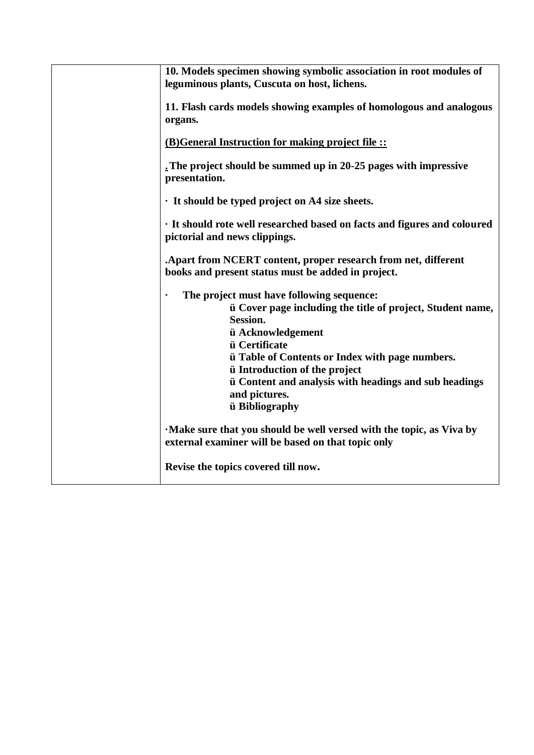| 10. Models specimen showing symbolic association in root modules of<br>leguminous plants, Cuscuta on host, lichens.                                                                                                                                                                                                                                                           |
|-------------------------------------------------------------------------------------------------------------------------------------------------------------------------------------------------------------------------------------------------------------------------------------------------------------------------------------------------------------------------------|
| 11. Flash cards models showing examples of homologous and analogous<br>organs.                                                                                                                                                                                                                                                                                                |
| (B) General Instruction for making project file ::                                                                                                                                                                                                                                                                                                                            |
| The project should be summed up in 20-25 pages with impressive<br>presentation.                                                                                                                                                                                                                                                                                               |
| · It should be typed project on A4 size sheets.                                                                                                                                                                                                                                                                                                                               |
| · It should rote well researched based on facts and figures and coloured<br>pictorial and news clippings.                                                                                                                                                                                                                                                                     |
| Apart from NCERT content, proper research from net, different<br>books and present status must be added in project.                                                                                                                                                                                                                                                           |
| The project must have following sequence:<br>ii Cover page including the title of project, Student name,<br>Session.<br>ü Acknowledgement<br><i>u</i> Certificate<br><i>u</i> Table of Contents or Index with page numbers.<br><i>u</i> Introduction of the project<br><i>u</i> Content and analysis with headings and sub headings<br>and pictures.<br><i>ü</i> Bibliography |
| Make sure that you should be well versed with the topic, as Viva by<br>external examiner will be based on that topic only                                                                                                                                                                                                                                                     |
| Revise the topics covered till now.                                                                                                                                                                                                                                                                                                                                           |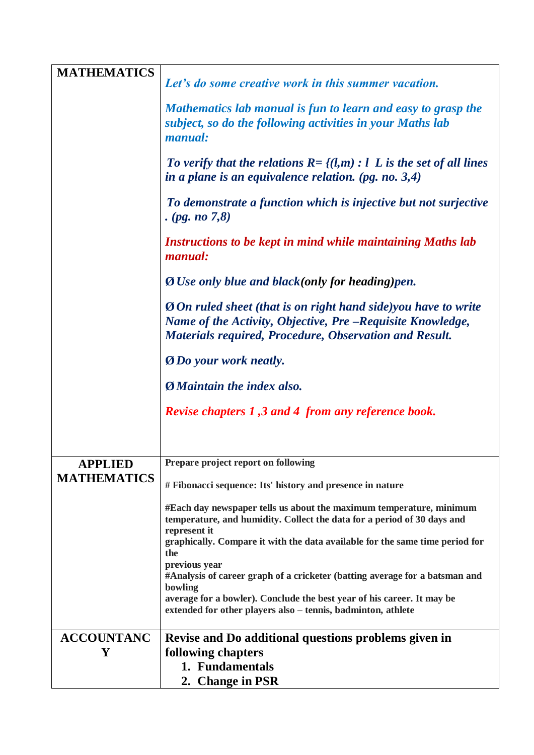| <b>MATHEMATICS</b>                   |                                                                                                                                                                                                      |
|--------------------------------------|------------------------------------------------------------------------------------------------------------------------------------------------------------------------------------------------------|
|                                      | Let's do some creative work in this summer vacation.                                                                                                                                                 |
|                                      | Mathematics lab manual is fun to learn and easy to grasp the<br>subject, so do the following activities in your Maths lab<br>manual:                                                                 |
|                                      | To verify that the relations $R = \{(l,m): l \in L \text{ is the set of all lines}\}$<br>in a plane is an equivalence relation. (pg. no. $3,4$ )                                                     |
|                                      | To demonstrate a function which is injective but not surjective<br>. ( <i>pg. no</i> $7,8$ )                                                                                                         |
|                                      | Instructions to be kept in mind while maintaining Maths lab<br><i>manual:</i>                                                                                                                        |
|                                      | <b>Ø</b> Use only blue and black(only for heading)pen.                                                                                                                                               |
|                                      | <b>O</b> On ruled sheet (that is on right hand side)you have to write<br>Name of the Activity, Objective, Pre -Requisite Knowledge,<br><b>Materials required, Procedure, Observation and Result.</b> |
|                                      | <b>ODo</b> your work neatly.                                                                                                                                                                         |
|                                      | <b>Ø</b> <i>Maintain the index also.</i>                                                                                                                                                             |
|                                      | <b>Revise chapters 1,3 and 4 from any reference book.</b>                                                                                                                                            |
|                                      | Prepare project report on following                                                                                                                                                                  |
| <b>APPLIED</b><br><b>MATHEMATICS</b> |                                                                                                                                                                                                      |
|                                      | # Fibonacci sequence: Its' history and presence in nature                                                                                                                                            |
|                                      | #Each day newspaper tells us about the maximum temperature, minimum<br>temperature, and humidity. Collect the data for a period of 30 days and<br>represent it                                       |
|                                      | graphically. Compare it with the data available for the same time period for<br>the                                                                                                                  |
|                                      | previous year                                                                                                                                                                                        |
|                                      | #Analysis of career graph of a cricketer (batting average for a batsman and<br>bowling                                                                                                               |
|                                      | average for a bowler). Conclude the best year of his career. It may be<br>extended for other players also - tennis, badminton, athlete                                                               |
| <b>ACCOUNTANC</b>                    | Revise and Do additional questions problems given in                                                                                                                                                 |
| Y                                    | following chapters                                                                                                                                                                                   |
|                                      | 1. Fundamentals                                                                                                                                                                                      |
|                                      | 2. Change in PSR                                                                                                                                                                                     |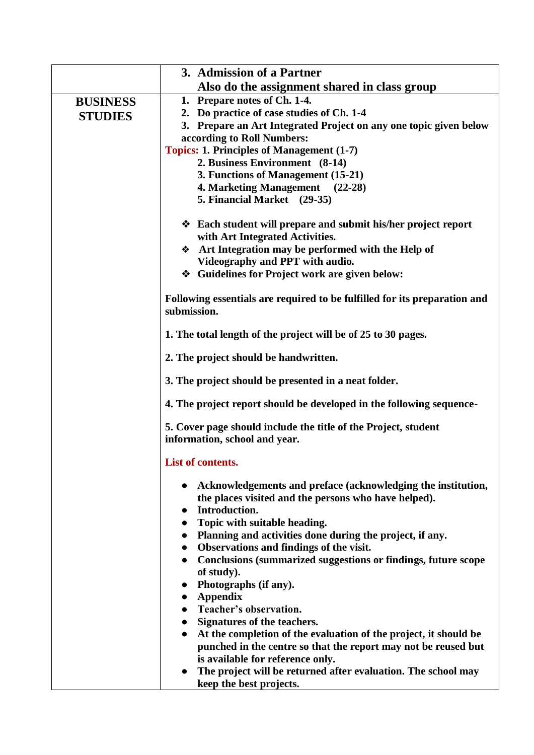|                 | 3. Admission of a Partner                                                                                                                                                                       |
|-----------------|-------------------------------------------------------------------------------------------------------------------------------------------------------------------------------------------------|
|                 | Also do the assignment shared in class group                                                                                                                                                    |
| <b>BUSINESS</b> | 1. Prepare notes of Ch. 1-4.                                                                                                                                                                    |
| <b>STUDIES</b>  | 2. Do practice of case studies of Ch. 1-4                                                                                                                                                       |
|                 | 3. Prepare an Art Integrated Project on any one topic given below                                                                                                                               |
|                 | according to Roll Numbers:                                                                                                                                                                      |
|                 | <b>Topics: 1. Principles of Management (1-7)</b>                                                                                                                                                |
|                 | 2. Business Environment (8-14)                                                                                                                                                                  |
|                 | 3. Functions of Management (15-21)                                                                                                                                                              |
|                 | 4. Marketing Management (22-28)                                                                                                                                                                 |
|                 | 5. Financial Market (29-35)                                                                                                                                                                     |
|                 | ❖ Each student will prepare and submit his/her project report<br>with Art Integrated Activities.                                                                                                |
|                 | Art Integration may be performed with the Help of                                                                                                                                               |
|                 | Videography and PPT with audio.                                                                                                                                                                 |
|                 | ❖ Guidelines for Project work are given below:                                                                                                                                                  |
|                 | Following essentials are required to be fulfilled for its preparation and<br>submission.                                                                                                        |
|                 | 1. The total length of the project will be of 25 to 30 pages.                                                                                                                                   |
|                 | 2. The project should be handwritten.                                                                                                                                                           |
|                 | 3. The project should be presented in a neat folder.                                                                                                                                            |
|                 | 4. The project report should be developed in the following sequence-                                                                                                                            |
|                 | 5. Cover page should include the title of the Project, student<br>information, school and year.                                                                                                 |
|                 | List of contents.                                                                                                                                                                               |
|                 | Acknowledgements and preface (acknowledging the institution,<br>the places visited and the persons who have helped).<br>Introduction.<br>$\bullet$<br>Topic with suitable heading.<br>$\bullet$ |
|                 | • Planning and activities done during the project, if any.                                                                                                                                      |
|                 | <b>Observations and findings of the visit.</b><br>$\bullet$                                                                                                                                     |
|                 | Conclusions (summarized suggestions or findings, future scope<br>$\bullet$                                                                                                                      |
|                 | of study).                                                                                                                                                                                      |
|                 | Photographs (if any).<br>$\bullet$                                                                                                                                                              |
|                 | <b>Appendix</b><br>$\bullet$                                                                                                                                                                    |
|                 | Teacher's observation.<br>$\bullet$                                                                                                                                                             |
|                 | • Signatures of the teachers.                                                                                                                                                                   |
|                 | At the completion of the evaluation of the project, it should be<br>$\bullet$                                                                                                                   |
|                 | punched in the centre so that the report may not be reused but                                                                                                                                  |
|                 | is available for reference only.                                                                                                                                                                |
|                 | The project will be returned after evaluation. The school may<br>$\bullet$<br>keep the best projects.                                                                                           |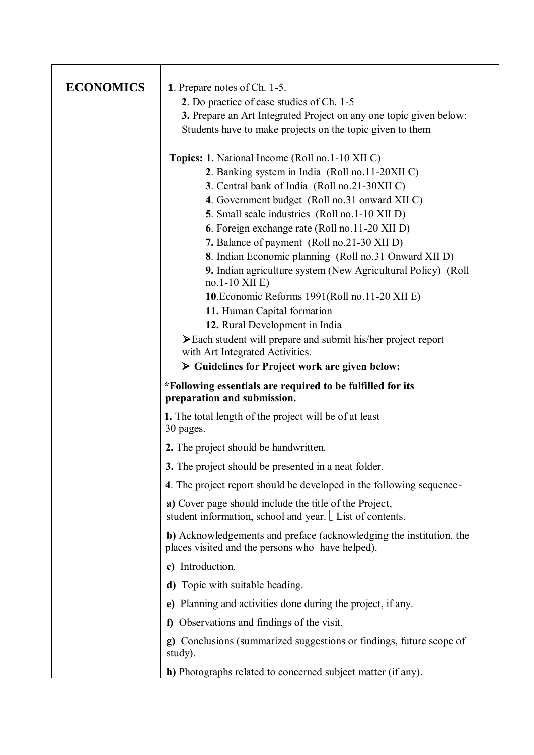| <b>ECONOMICS</b> | <b>1.</b> Prepare notes of Ch. 1-5.                                                                                     |
|------------------|-------------------------------------------------------------------------------------------------------------------------|
|                  | 2. Do practice of case studies of Ch. 1-5                                                                               |
|                  | 3. Prepare an Art Integrated Project on any one topic given below:                                                      |
|                  | Students have to make projects on the topic given to them                                                               |
|                  | <b>Topics: 1.</b> National Income (Roll no.1-10 XII C)                                                                  |
|                  | 2. Banking system in India (Roll no.11-20XII C)                                                                         |
|                  | 3. Central bank of India (Roll no.21-30XII C)                                                                           |
|                  | 4. Government budget (Roll no.31 onward XII C)                                                                          |
|                  | 5. Small scale industries (Roll no.1-10 XII D)                                                                          |
|                  | 6. Foreign exchange rate (Roll no.11-20 XII D)                                                                          |
|                  | 7. Balance of payment (Roll no.21-30 XII D)                                                                             |
|                  | 8. Indian Economic planning (Roll no.31 Onward XII D)<br>9. Indian agriculture system (New Agricultural Policy) (Roll   |
|                  | $no.1-10$ XII E)                                                                                                        |
|                  | 10. Economic Reforms 1991(Roll no. 11-20 XII E)                                                                         |
|                  | 11. Human Capital formation<br>12. Rural Development in India                                                           |
|                  | > Each student will prepare and submit his/her project report                                                           |
|                  | with Art Integrated Activities.                                                                                         |
|                  | > Guidelines for Project work are given below:                                                                          |
|                  | *Following essentials are required to be fulfilled for its<br>preparation and submission.                               |
|                  | 1. The total length of the project will be of at least<br>30 pages.                                                     |
|                  | 2. The project should be handwritten.                                                                                   |
|                  | 3. The project should be presented in a neat folder.                                                                    |
|                  | 4. The project report should be developed in the following sequence-                                                    |
|                  | a) Cover page should include the title of the Project,                                                                  |
|                  | student information, school and year. List of contents.                                                                 |
|                  | b) Acknowledgements and preface (acknowledging the institution, the<br>places visited and the persons who have helped). |
|                  | c) Introduction.                                                                                                        |
|                  | d) Topic with suitable heading.                                                                                         |
|                  | e) Planning and activities done during the project, if any.                                                             |
|                  | f) Observations and findings of the visit.                                                                              |
|                  | g) Conclusions (summarized suggestions or findings, future scope of<br>study).                                          |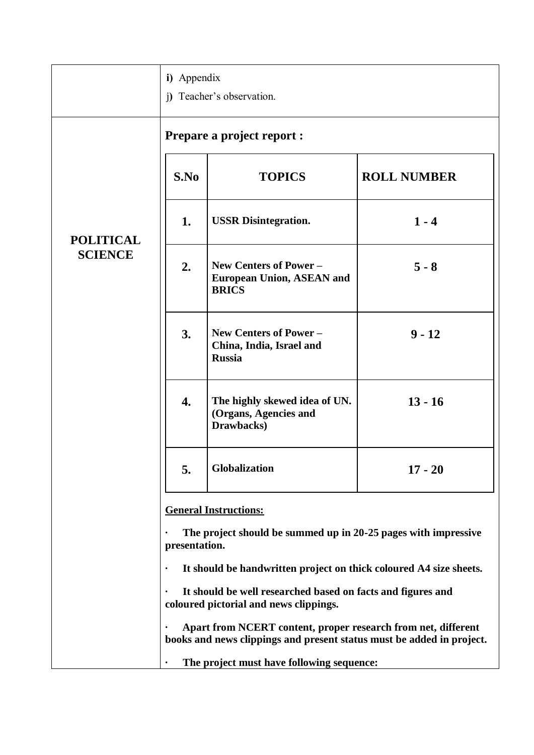|                  | i) Appendix                                          | i) Teacher's observation.                                                                                                                                                                                                                                                                                                                                                                                                                                            |                    |
|------------------|------------------------------------------------------|----------------------------------------------------------------------------------------------------------------------------------------------------------------------------------------------------------------------------------------------------------------------------------------------------------------------------------------------------------------------------------------------------------------------------------------------------------------------|--------------------|
|                  |                                                      | <b>Prepare a project report:</b>                                                                                                                                                                                                                                                                                                                                                                                                                                     |                    |
|                  | S.No                                                 | <b>TOPICS</b>                                                                                                                                                                                                                                                                                                                                                                                                                                                        | <b>ROLL NUMBER</b> |
| <b>POLITICAL</b> | 1.                                                   | <b>USSR</b> Disintegration.                                                                                                                                                                                                                                                                                                                                                                                                                                          | $1 - 4$            |
| <b>SCIENCE</b>   | 2.                                                   | New Centers of Power -<br><b>European Union, ASEAN and</b><br><b>BRICS</b>                                                                                                                                                                                                                                                                                                                                                                                           | $5 - 8$            |
|                  | 3.                                                   | New Centers of Power -<br>China, India, Israel and<br><b>Russia</b>                                                                                                                                                                                                                                                                                                                                                                                                  | $9 - 12$           |
|                  | 4.                                                   | The highly skewed idea of UN.<br>(Organs, Agencies and<br>Drawbacks)                                                                                                                                                                                                                                                                                                                                                                                                 | $13 - 16$          |
|                  | 5.                                                   | Globalization                                                                                                                                                                                                                                                                                                                                                                                                                                                        | $17 - 20$          |
|                  | presentation.<br>$\bullet$<br>$\bullet$<br>$\bullet$ | <b>General Instructions:</b><br>The project should be summed up in 20-25 pages with impressive<br>It should be handwritten project on thick coloured A4 size sheets.<br>It should be well researched based on facts and figures and<br>coloured pictorial and news clippings.<br>Apart from NCERT content, proper research from net, different<br>books and news clippings and present status must be added in project.<br>The project must have following sequence: |                    |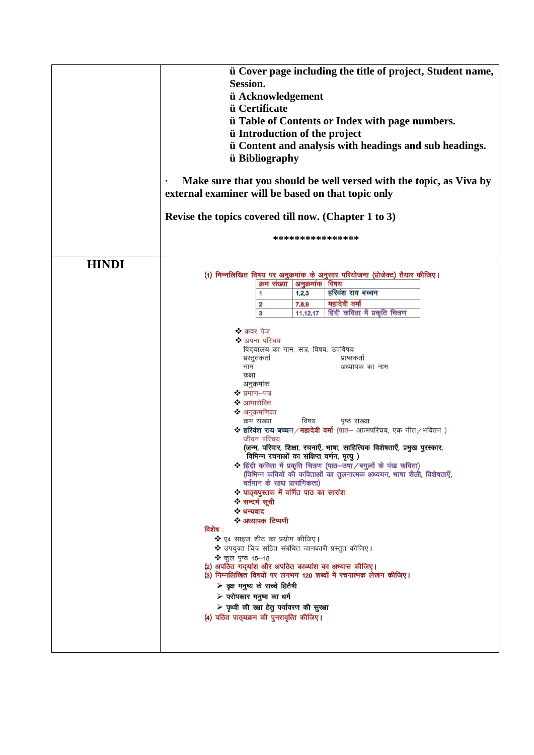|        |                                                  |                                                                                                                                                                                                                                                                            | ****************                                                                                                                                                                                                                                                                                                                                                                                                                                                                                                              |
|--------|--------------------------------------------------|----------------------------------------------------------------------------------------------------------------------------------------------------------------------------------------------------------------------------------------------------------------------------|-------------------------------------------------------------------------------------------------------------------------------------------------------------------------------------------------------------------------------------------------------------------------------------------------------------------------------------------------------------------------------------------------------------------------------------------------------------------------------------------------------------------------------|
| विशेष: | क्रम संख्या<br>1<br>$\overline{\mathbf{2}}$<br>3 | अनुक्रमांक विषय<br>1,2,3<br>7,8,9<br>11,12,17<br>विषय                                                                                                                                                                                                                      | (1) निम्नलिखित विषय पर अनुक्रमांक के अनुसार परियोजना (प्रोजेक्ट) तैयार कीजिए।<br>हरिवंश राय बच्चन<br>महादेवी वर्मा<br>हिंदी कविता में प्रकृति चित्रण<br>प्राप्तकर्ता<br>अध्यापक का नाम<br>पृष्ठ संख्या<br>* हरिवंश राय बच्चन / महादेवी वर्मा (पाठ- आत्मपरिचय, एक गीत / भक्तिन)<br>(जन्म, परिवार, शिक्षा, रचनाएँ, भाषा, साहित्यिक विशेषताएँ, प्रमुख पुरस्कार,<br>* हिंदी कविता में प्रकृति चित्रण (पाठ-उषा / बगुलों के पंख कविता)<br>(विभिन्न कवियों की कविताओं का तुलनात्मक अध्ययन, भाषा शैली, विशेषताएँ,                     |
|        |                                                  | ❖ कवर पेज<br>❖ अपना परिचय<br>प्रस्तुतकर्ता<br>नाम<br>कक्षा<br>अनुक्रमांक<br>❖ प्रमाण-पत्र<br>❖ आभारोक्ति<br>❖ अनुक्रमणिका<br>क्रम संख्या<br>जीवन परिचय<br>❖ सन्दर्भ सूची<br>❖ धन्यवाद<br>❖ अध्यापक टिप्पणी<br>❖ कूल पृष्ठ 15-18<br>$\triangleright$ परोपकार मनुष्य का धर्म | विद्यालय का नाम, सत्र, विषय, उपविषय<br>विभिन्न रचनाओं का संक्षिप्त वर्णन, मृत्यु )<br>वर्तमान के साथ प्रासंगिकता)<br>* पाठ्यपुस्तक में वर्णित पाठ का सारांश<br>❖ ए4 साइज शीट का प्रयोग कीजिए।<br>❖ उपयुक्त चित्र सहित संबंधित जानकारी प्रस्तुत कीजिए।<br>(2) अपठित गद्यांश और अपठित काव्यांश का अभ्यास कीजिए।<br>(3) निम्नलिखित विषयों पर लगभग 120 शब्दों में रचनात्मक लेखन कीजिए।<br>≻ वृक्ष मनुष्य के सच्चे हितैषी<br>$\triangleright$ पृथ्वी की रक्षा हेतु पर्यावरण की सुरक्षा<br>(4) पठित पाठ्यक्रम की पुनरावृत्ति कीजिए। |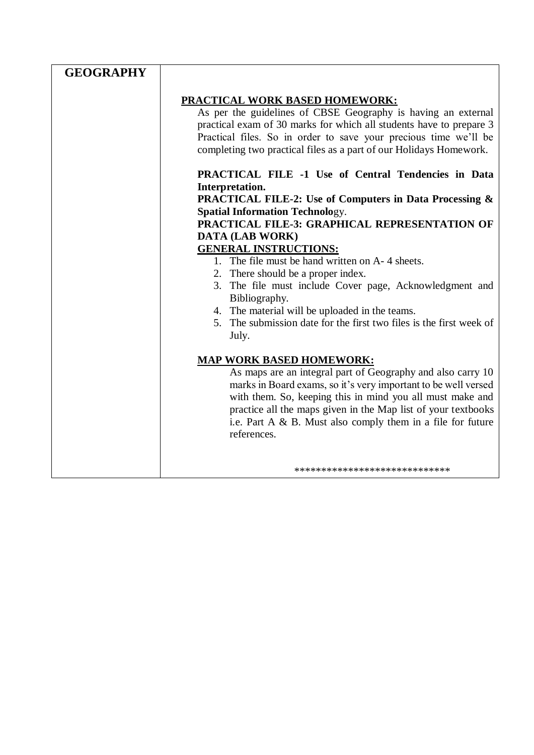| <b>PRACTICAL WORK BASED HOMEWORK:</b><br>As per the guidelines of CBSE Geography is having an external<br>practical exam of 30 marks for which all students have to prepare 3<br>Practical files. So in order to save your precious time we'll be<br>completing two practical files as a part of our Holidays Homework.<br><b>PRACTICAL FILE -1 Use of Central Tendencies in Data</b><br>Interpretation.<br><b>PRACTICAL FILE-2: Use of Computers in Data Processing &amp;</b><br><b>Spatial Information Technology.</b><br>PRACTICAL FILE-3: GRAPHICAL REPRESENTATION OF<br><b>DATA (LAB WORK)</b><br><b>GENERAL INSTRUCTIONS:</b><br>1. The file must be hand written on A-4 sheets.<br>2. There should be a proper index.<br>3. The file must include Cover page, Acknowledgment and<br>Bibliography.<br>4. The material will be uploaded in the teams.<br>5. The submission date for the first two files is the first week of<br>July.<br><b>MAP WORK BASED HOMEWORK:</b><br>As maps are an integral part of Geography and also carry 10<br>marks in Board exams, so it's very important to be well versed<br>with them. So, keeping this in mind you all must make and<br>practice all the maps given in the Map list of your textbooks<br>i.e. Part A & B. Must also comply them in a file for future<br>references. | <b>GEOGRAPHY</b> |  |
|----------------------------------------------------------------------------------------------------------------------------------------------------------------------------------------------------------------------------------------------------------------------------------------------------------------------------------------------------------------------------------------------------------------------------------------------------------------------------------------------------------------------------------------------------------------------------------------------------------------------------------------------------------------------------------------------------------------------------------------------------------------------------------------------------------------------------------------------------------------------------------------------------------------------------------------------------------------------------------------------------------------------------------------------------------------------------------------------------------------------------------------------------------------------------------------------------------------------------------------------------------------------------------------------------------------------------|------------------|--|
|                                                                                                                                                                                                                                                                                                                                                                                                                                                                                                                                                                                                                                                                                                                                                                                                                                                                                                                                                                                                                                                                                                                                                                                                                                                                                                                            |                  |  |
|                                                                                                                                                                                                                                                                                                                                                                                                                                                                                                                                                                                                                                                                                                                                                                                                                                                                                                                                                                                                                                                                                                                                                                                                                                                                                                                            |                  |  |
|                                                                                                                                                                                                                                                                                                                                                                                                                                                                                                                                                                                                                                                                                                                                                                                                                                                                                                                                                                                                                                                                                                                                                                                                                                                                                                                            |                  |  |
|                                                                                                                                                                                                                                                                                                                                                                                                                                                                                                                                                                                                                                                                                                                                                                                                                                                                                                                                                                                                                                                                                                                                                                                                                                                                                                                            |                  |  |
|                                                                                                                                                                                                                                                                                                                                                                                                                                                                                                                                                                                                                                                                                                                                                                                                                                                                                                                                                                                                                                                                                                                                                                                                                                                                                                                            |                  |  |
|                                                                                                                                                                                                                                                                                                                                                                                                                                                                                                                                                                                                                                                                                                                                                                                                                                                                                                                                                                                                                                                                                                                                                                                                                                                                                                                            |                  |  |
|                                                                                                                                                                                                                                                                                                                                                                                                                                                                                                                                                                                                                                                                                                                                                                                                                                                                                                                                                                                                                                                                                                                                                                                                                                                                                                                            |                  |  |
|                                                                                                                                                                                                                                                                                                                                                                                                                                                                                                                                                                                                                                                                                                                                                                                                                                                                                                                                                                                                                                                                                                                                                                                                                                                                                                                            |                  |  |
|                                                                                                                                                                                                                                                                                                                                                                                                                                                                                                                                                                                                                                                                                                                                                                                                                                                                                                                                                                                                                                                                                                                                                                                                                                                                                                                            |                  |  |
|                                                                                                                                                                                                                                                                                                                                                                                                                                                                                                                                                                                                                                                                                                                                                                                                                                                                                                                                                                                                                                                                                                                                                                                                                                                                                                                            |                  |  |
|                                                                                                                                                                                                                                                                                                                                                                                                                                                                                                                                                                                                                                                                                                                                                                                                                                                                                                                                                                                                                                                                                                                                                                                                                                                                                                                            |                  |  |
|                                                                                                                                                                                                                                                                                                                                                                                                                                                                                                                                                                                                                                                                                                                                                                                                                                                                                                                                                                                                                                                                                                                                                                                                                                                                                                                            |                  |  |
|                                                                                                                                                                                                                                                                                                                                                                                                                                                                                                                                                                                                                                                                                                                                                                                                                                                                                                                                                                                                                                                                                                                                                                                                                                                                                                                            |                  |  |
|                                                                                                                                                                                                                                                                                                                                                                                                                                                                                                                                                                                                                                                                                                                                                                                                                                                                                                                                                                                                                                                                                                                                                                                                                                                                                                                            |                  |  |
|                                                                                                                                                                                                                                                                                                                                                                                                                                                                                                                                                                                                                                                                                                                                                                                                                                                                                                                                                                                                                                                                                                                                                                                                                                                                                                                            |                  |  |
|                                                                                                                                                                                                                                                                                                                                                                                                                                                                                                                                                                                                                                                                                                                                                                                                                                                                                                                                                                                                                                                                                                                                                                                                                                                                                                                            |                  |  |
|                                                                                                                                                                                                                                                                                                                                                                                                                                                                                                                                                                                                                                                                                                                                                                                                                                                                                                                                                                                                                                                                                                                                                                                                                                                                                                                            |                  |  |
|                                                                                                                                                                                                                                                                                                                                                                                                                                                                                                                                                                                                                                                                                                                                                                                                                                                                                                                                                                                                                                                                                                                                                                                                                                                                                                                            |                  |  |
|                                                                                                                                                                                                                                                                                                                                                                                                                                                                                                                                                                                                                                                                                                                                                                                                                                                                                                                                                                                                                                                                                                                                                                                                                                                                                                                            |                  |  |
|                                                                                                                                                                                                                                                                                                                                                                                                                                                                                                                                                                                                                                                                                                                                                                                                                                                                                                                                                                                                                                                                                                                                                                                                                                                                                                                            |                  |  |
|                                                                                                                                                                                                                                                                                                                                                                                                                                                                                                                                                                                                                                                                                                                                                                                                                                                                                                                                                                                                                                                                                                                                                                                                                                                                                                                            |                  |  |
|                                                                                                                                                                                                                                                                                                                                                                                                                                                                                                                                                                                                                                                                                                                                                                                                                                                                                                                                                                                                                                                                                                                                                                                                                                                                                                                            |                  |  |
|                                                                                                                                                                                                                                                                                                                                                                                                                                                                                                                                                                                                                                                                                                                                                                                                                                                                                                                                                                                                                                                                                                                                                                                                                                                                                                                            |                  |  |
|                                                                                                                                                                                                                                                                                                                                                                                                                                                                                                                                                                                                                                                                                                                                                                                                                                                                                                                                                                                                                                                                                                                                                                                                                                                                                                                            |                  |  |
|                                                                                                                                                                                                                                                                                                                                                                                                                                                                                                                                                                                                                                                                                                                                                                                                                                                                                                                                                                                                                                                                                                                                                                                                                                                                                                                            |                  |  |
|                                                                                                                                                                                                                                                                                                                                                                                                                                                                                                                                                                                                                                                                                                                                                                                                                                                                                                                                                                                                                                                                                                                                                                                                                                                                                                                            |                  |  |
| *****************************                                                                                                                                                                                                                                                                                                                                                                                                                                                                                                                                                                                                                                                                                                                                                                                                                                                                                                                                                                                                                                                                                                                                                                                                                                                                                              |                  |  |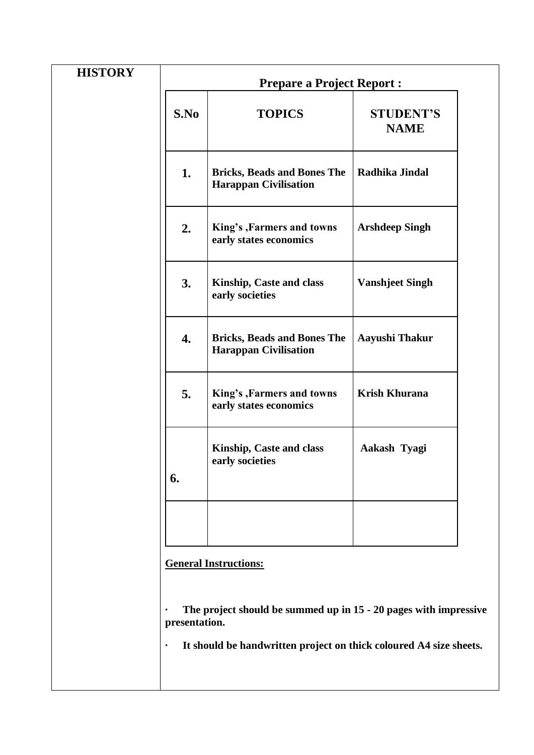| <b>Prepare a Project Report:</b> |  |  |  |
|----------------------------------|--|--|--|
| <b>STUDENT'S</b><br><b>NAME</b>  |  |  |  |
| Radhika Jindal                   |  |  |  |
| <b>Arshdeep Singh</b>            |  |  |  |
| <b>Vanshjeet Singh</b>           |  |  |  |
| Aayushi Thakur                   |  |  |  |
| Krish Khurana                    |  |  |  |
| Aakash Tyagi                     |  |  |  |
|                                  |  |  |  |
|                                  |  |  |  |

**· The project should be summed up in 15 - 20 pages with impressive presentation.**

**· It should be handwritten project on thick coloured A4 size sheets.**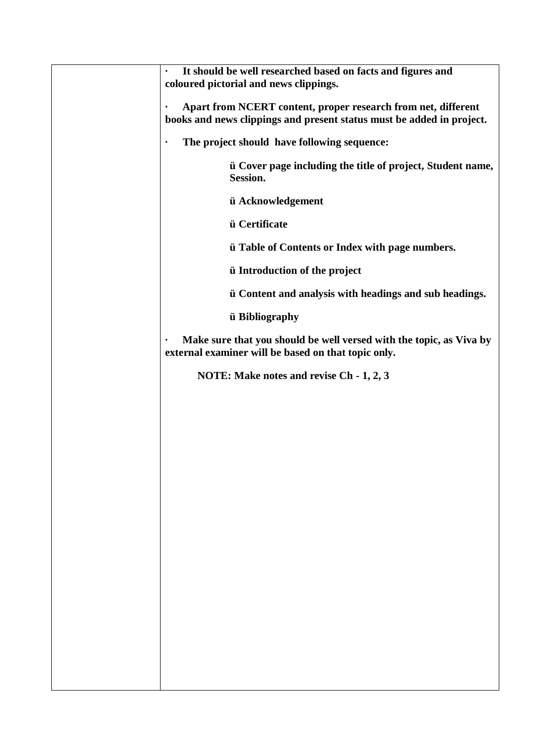| It should be well researched based on facts and figures and<br>$\bullet$<br>coloured pictorial and news clippings.                                  |
|-----------------------------------------------------------------------------------------------------------------------------------------------------|
| Apart from NCERT content, proper research from net, different<br>$\bullet$<br>books and news clippings and present status must be added in project. |
| The project should have following sequence:                                                                                                         |
| ii Cover page including the title of project, Student name,<br>Session.                                                                             |
| ü Acknowledgement                                                                                                                                   |
| ü Certificate                                                                                                                                       |
| <i>u</i> Table of Contents or Index with page numbers.                                                                                              |
| <i>u</i> Introduction of the project                                                                                                                |
| ii Content and analysis with headings and sub headings.                                                                                             |
| ü Bibliography                                                                                                                                      |
| Make sure that you should be well versed with the topic, as Viva by<br>$\bullet$<br>external examiner will be based on that topic only.             |
| NOTE: Make notes and revise Ch - 1, 2, 3                                                                                                            |
|                                                                                                                                                     |
|                                                                                                                                                     |
|                                                                                                                                                     |
|                                                                                                                                                     |
|                                                                                                                                                     |
|                                                                                                                                                     |
|                                                                                                                                                     |
|                                                                                                                                                     |
|                                                                                                                                                     |
|                                                                                                                                                     |
|                                                                                                                                                     |
|                                                                                                                                                     |
|                                                                                                                                                     |
|                                                                                                                                                     |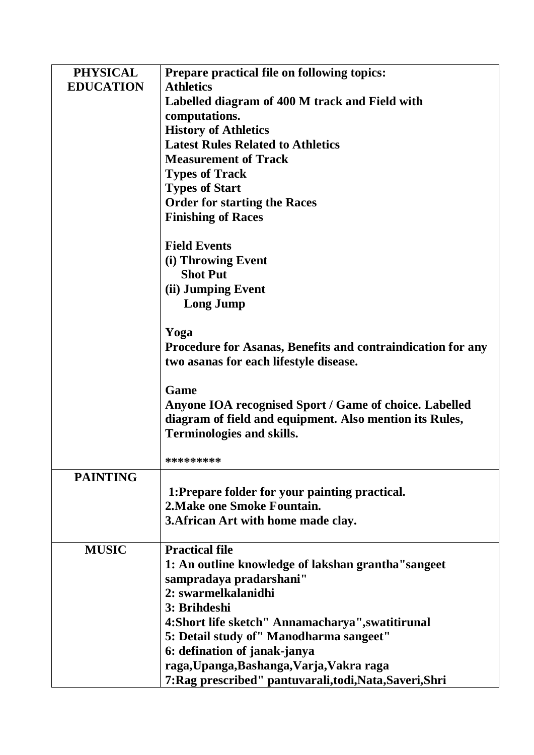| <b>PHYSICAL</b>  | Prepare practical file on following topics:                        |  |  |  |  |  |
|------------------|--------------------------------------------------------------------|--|--|--|--|--|
| <b>EDUCATION</b> | <b>Athletics</b>                                                   |  |  |  |  |  |
|                  | Labelled diagram of 400 M track and Field with                     |  |  |  |  |  |
|                  | computations.                                                      |  |  |  |  |  |
|                  | <b>History of Athletics</b>                                        |  |  |  |  |  |
|                  | <b>Latest Rules Related to Athletics</b>                           |  |  |  |  |  |
|                  | <b>Measurement of Track</b>                                        |  |  |  |  |  |
|                  | <b>Types of Track</b>                                              |  |  |  |  |  |
|                  | <b>Types of Start</b>                                              |  |  |  |  |  |
|                  | <b>Order for starting the Races</b>                                |  |  |  |  |  |
|                  | <b>Finishing of Races</b>                                          |  |  |  |  |  |
|                  | <b>Field Events</b>                                                |  |  |  |  |  |
|                  | (i) Throwing Event                                                 |  |  |  |  |  |
|                  | <b>Shot Put</b>                                                    |  |  |  |  |  |
|                  | (ii) Jumping Event                                                 |  |  |  |  |  |
|                  | <b>Long Jump</b>                                                   |  |  |  |  |  |
|                  | Yoga                                                               |  |  |  |  |  |
|                  | <b>Procedure for Asanas, Benefits and contraindication for any</b> |  |  |  |  |  |
|                  | two asanas for each lifestyle disease.                             |  |  |  |  |  |
|                  | Game                                                               |  |  |  |  |  |
|                  | Anyone IOA recognised Sport / Game of choice. Labelled             |  |  |  |  |  |
|                  | diagram of field and equipment. Also mention its Rules,            |  |  |  |  |  |
|                  | <b>Terminologies and skills.</b>                                   |  |  |  |  |  |
|                  | *********                                                          |  |  |  |  |  |
| <b>PAINTING</b>  |                                                                    |  |  |  |  |  |
|                  | 1:Prepare folder for your painting practical.                      |  |  |  |  |  |
|                  | 2. Make one Smoke Fountain.                                        |  |  |  |  |  |
|                  | 3. African Art with home made clay.                                |  |  |  |  |  |
| <b>MUSIC</b>     | <b>Practical file</b>                                              |  |  |  |  |  |
|                  | 1: An outline knowledge of lakshan grantha "sangeet"               |  |  |  |  |  |
|                  | sampradaya pradarshani"                                            |  |  |  |  |  |
|                  | 2: swarmelkalanidhi                                                |  |  |  |  |  |
|                  | 3: Brihdeshi                                                       |  |  |  |  |  |
|                  | 4: Short life sketch" Annamacharya", swatitirunal                  |  |  |  |  |  |
|                  | 5: Detail study of" Manodharma sangeet"                            |  |  |  |  |  |
|                  | 6: defination of janak-janya                                       |  |  |  |  |  |
|                  | raga, Upanga, Bashanga, Varja, Vakra raga                          |  |  |  |  |  |
|                  | 7: Rag prescribed" pantuvarali, todi, Nata, Saveri, Shri           |  |  |  |  |  |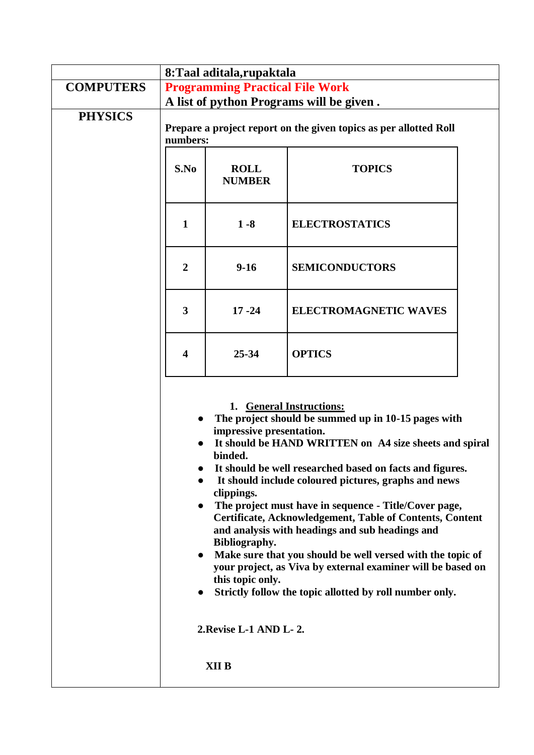|                  | 8: Taal aditala, rupaktala                                                                                                                                                                                                                                                                                                                                                                                                                                                                                                                                                                                                                                                                                                                                                  |                              |                              |  |  |  |
|------------------|-----------------------------------------------------------------------------------------------------------------------------------------------------------------------------------------------------------------------------------------------------------------------------------------------------------------------------------------------------------------------------------------------------------------------------------------------------------------------------------------------------------------------------------------------------------------------------------------------------------------------------------------------------------------------------------------------------------------------------------------------------------------------------|------------------------------|------------------------------|--|--|--|
| <b>COMPUTERS</b> | <b>Programming Practical File Work</b>                                                                                                                                                                                                                                                                                                                                                                                                                                                                                                                                                                                                                                                                                                                                      |                              |                              |  |  |  |
|                  | A list of python Programs will be given.                                                                                                                                                                                                                                                                                                                                                                                                                                                                                                                                                                                                                                                                                                                                    |                              |                              |  |  |  |
| <b>PHYSICS</b>   | Prepare a project report on the given topics as per allotted Roll<br>numbers:                                                                                                                                                                                                                                                                                                                                                                                                                                                                                                                                                                                                                                                                                               |                              |                              |  |  |  |
|                  | S.No                                                                                                                                                                                                                                                                                                                                                                                                                                                                                                                                                                                                                                                                                                                                                                        | <b>ROLL</b><br><b>NUMBER</b> | <b>TOPICS</b>                |  |  |  |
|                  | $\mathbf{1}$                                                                                                                                                                                                                                                                                                                                                                                                                                                                                                                                                                                                                                                                                                                                                                | $1 - 8$                      | <b>ELECTROSTATICS</b>        |  |  |  |
|                  | $\boldsymbol{2}$                                                                                                                                                                                                                                                                                                                                                                                                                                                                                                                                                                                                                                                                                                                                                            | $9-16$                       | <b>SEMICONDUCTORS</b>        |  |  |  |
|                  | 3                                                                                                                                                                                                                                                                                                                                                                                                                                                                                                                                                                                                                                                                                                                                                                           | $17 - 24$                    | <b>ELECTROMAGNETIC WAVES</b> |  |  |  |
|                  | $\overline{\mathbf{4}}$                                                                                                                                                                                                                                                                                                                                                                                                                                                                                                                                                                                                                                                                                                                                                     | $25 - 34$                    | <b>OPTICS</b>                |  |  |  |
|                  | 1. General Instructions:<br>The project should be summed up in 10-15 pages with<br>impressive presentation.<br>It should be HAND WRITTEN on A4 size sheets and spiral<br>binded.<br>It should be well researched based on facts and figures.<br>It should include coloured pictures, graphs and news<br>clippings.<br>The project must have in sequence - Title/Cover page,<br>$\bullet$<br>Certificate, Acknowledgement, Table of Contents, Content<br>and analysis with headings and sub headings and<br>Bibliography.<br>Make sure that you should be well versed with the topic of<br>$\bullet$<br>your project, as Viva by external examiner will be based on<br>this topic only.<br>Strictly follow the topic allotted by roll number only.<br>2. Revise L-1 AND L-2. |                              |                              |  |  |  |
|                  |                                                                                                                                                                                                                                                                                                                                                                                                                                                                                                                                                                                                                                                                                                                                                                             | XII B                        |                              |  |  |  |